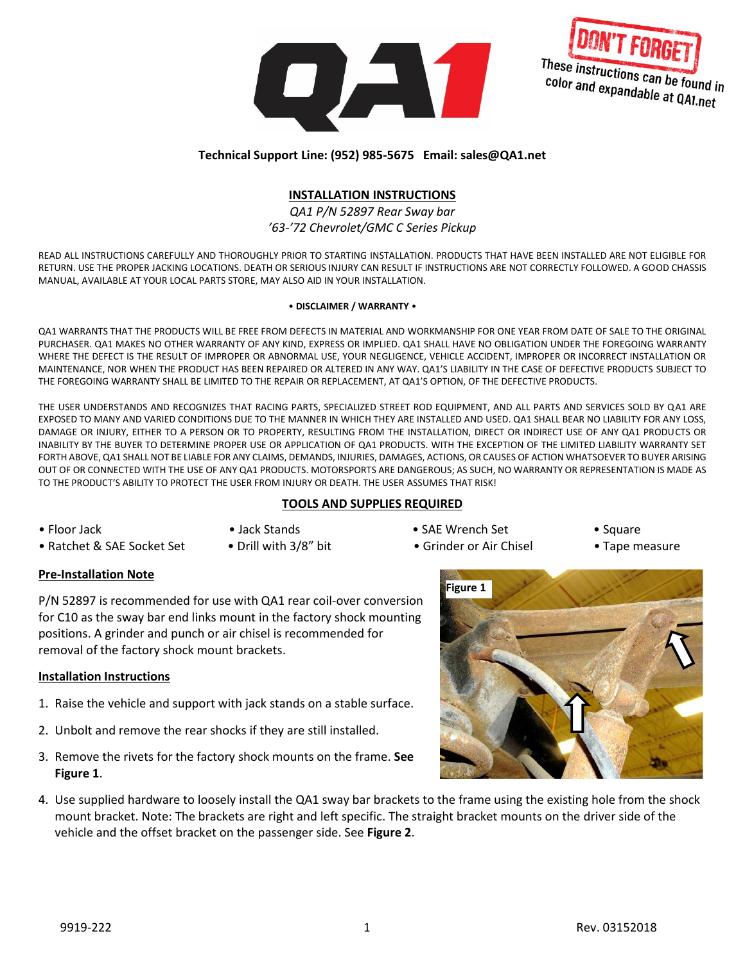



#### **Technical Support Line: (952) 985-5675 Email: sales@QA1.net**

#### **INSTALLATION INSTRUCTIONS**

*QA1 P/N 52897 Rear Sway bar '63-'72 Chevrolet/GMC C Series Pickup* 

READ ALL INSTRUCTIONS CAREFULLY AND THOROUGHLY PRIOR TO STARTING INSTALLATION. PRODUCTS THAT HAVE BEEN INSTALLED ARE NOT ELIGIBLE FOR RETURN. USE THE PROPER JACKING LOCATIONS. DEATH OR SERIOUS INJURY CAN RESULT IF INSTRUCTIONS ARE NOT CORRECTLY FOLLOWED. A GOOD CHASSIS MANUAL, AVAILABLE AT YOUR LOCAL PARTS STORE, MAY ALSO AID IN YOUR INSTALLATION.

#### • **DISCLAIMER / WARRANTY** •

QA1 WARRANTS THAT THE PRODUCTS WILL BE FREE FROM DEFECTS IN MATERIAL AND WORKMANSHIP FOR ONE YEAR FROM DATE OF SALE TO THE ORIGINAL PURCHASER. QA1 MAKES NO OTHER WARRANTY OF ANY KIND, EXPRESS OR IMPLIED. QA1 SHALL HAVE NO OBLIGATION UNDER THE FOREGOING WARRANTY WHERE THE DEFECT IS THE RESULT OF IMPROPER OR ABNORMAL USE, YOUR NEGLIGENCE, VEHICLE ACCIDENT, IMPROPER OR INCORRECT INSTALLATION OR MAINTENANCE, NOR WHEN THE PRODUCT HAS BEEN REPAIRED OR ALTERED IN ANY WAY. QA1'S LIABILITY IN THE CASE OF DEFECTIVE PRODUCTS SUBJECT TO THE FOREGOING WARRANTY SHALL BE LIMITED TO THE REPAIR OR REPLACEMENT, AT QA1'S OPTION, OF THE DEFECTIVE PRODUCTS.

THE USER UNDERSTANDS AND RECOGNIZES THAT RACING PARTS, SPECIALIZED STREET ROD EQUIPMENT, AND ALL PARTS AND SERVICES SOLD BY QA1 ARE EXPOSED TO MANY AND VARIED CONDITIONS DUE TO THE MANNER IN WHICH THEY ARE INSTALLED AND USED. QA1 SHALL BEAR NO LIABILITY FOR ANY LOSS, DAMAGE OR INJURY, EITHER TO A PERSON OR TO PROPERTY, RESULTING FROM THE INSTALLATION, DIRECT OR INDIRECT USE OF ANY QA1 PRODUCTS OR INABILITY BY THE BUYER TO DETERMINE PROPER USE OR APPLICATION OF QA1 PRODUCTS. WITH THE EXCEPTION OF THE LIMITED LIABILITY WARRANTY SET FORTH ABOVE, QA1 SHALL NOT BE LIABLE FOR ANY CLAIMS, DEMANDS, INJURIES, DAMAGES, ACTIONS, OR CAUSES OF ACTION WHATSOEVER TO BUYER ARISING OUT OF OR CONNECTED WITH THE USE OF ANY QA1 PRODUCTS. MOTORSPORTS ARE DANGEROUS; AS SUCH, NO WARRANTY OR REPRESENTATION IS MADE AS TO THE PRODUCT'S ABILITY TO PROTECT THE USER FROM INJURY OR DEATH. THE USER ASSUMES THAT RISK!

## **TOOLS AND SUPPLIES REQUIRED**

- 
- 
- **Pre-Installation Note**

P/N 52897 is recommended for use with QA1 rear coil-over conversion for C10 as the sway bar end links mount in the factory shock mounting positions. A grinder and punch or air chisel is recommended for removal of the factory shock mount brackets.

## **Installation Instructions**

- 1. Raise the vehicle and support with jack stands on a stable surface.
- 2. Unbolt and remove the rear shocks if they are still installed.
- 3. Remove the rivets for the factory shock mounts on the frame. **See Figure 1**.
- 4. Use supplied hardware to loosely install the QA1 sway bar brackets to the frame using the existing hole from the shock mount bracket. Note: The brackets are right and left specific. The straight bracket mounts on the driver side of the vehicle and the offset bracket on the passenger side. See **Figure 2**.
- Floor Jack Jack Stands SAE Wrench Set Square
- Ratchet & SAE Socket Set Drill with 3/8" bit Grinder or Air Chisel Tape measure
- -

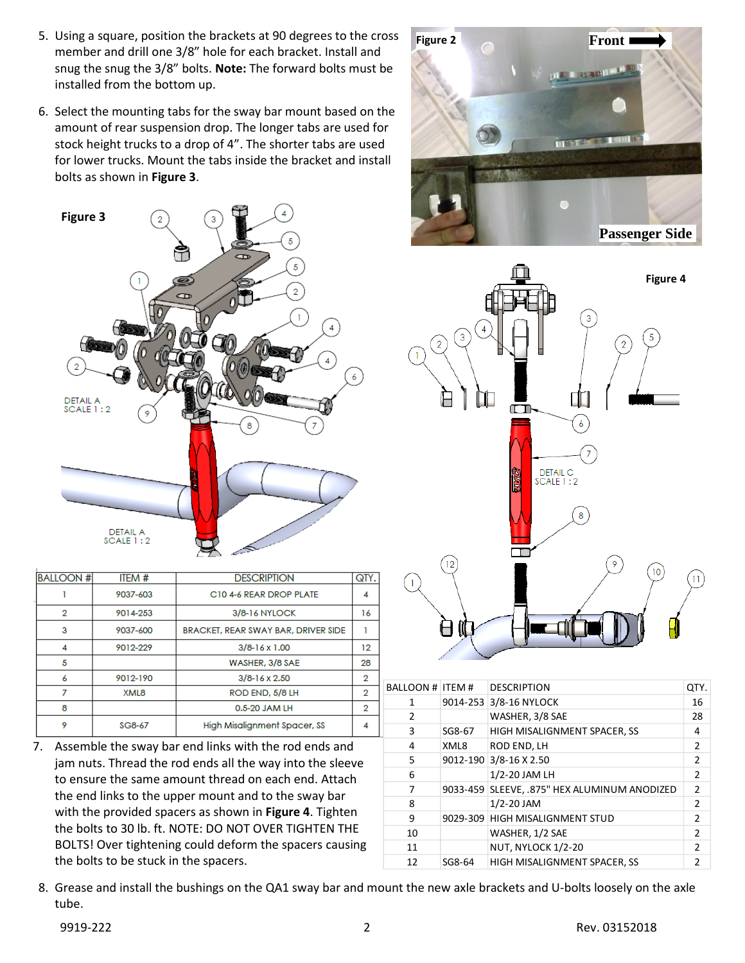- 5. Using a square, position the brackets at 90 degrees to the cross member and drill one 3/8" hole for each bracket. Install and snug the snug the 3/8" bolts. **Note:** The forward bolts must be installed from the bottom up.
- 6. Select the mounting tabs for the sway bar mount based on the amount of rear suspension drop. The longer tabs are used for stock height trucks to a drop of 4". The shorter tabs are used for lower trucks. Mount the tabs inside the bracket and install bolts as shown in **Figure 3**.



| <b>BALLOON#</b> | ITEM#    | <b>DESCRIPTION</b>                  | QTY            |
|-----------------|----------|-------------------------------------|----------------|
|                 | 9037-603 | C10 4-6 REAR DROP PLATE             | 4              |
| $\overline{2}$  | 9014-253 | 3/8-16 NYLOCK                       | 16             |
| 3               | 9037-600 | BRACKET, REAR SWAY BAR, DRIVER SIDE |                |
| 4               | 9012-229 | $3/8 - 16 \times 1.00$              | 12             |
| 5               |          | WASHER, 3/8 SAE                     | 28             |
| 6               | 9012-190 | $3/8 - 16 \times 2.50$              | 2              |
| 7               | XML8     | ROD END, 5/8 LH                     | 2              |
| 8               |          | 0.5-20 JAM LH                       | $\overline{2}$ |
| 9               | SG8-67   | High Misalignment Spacer, SS        | 4              |

7. Assemble the sway bar end links with the rod ends and jam nuts. Thread the rod ends all the way into the sleeve to ensure the same amount thread on each end. Attach the end links to the upper mount and to the sway bar with the provided spacers as shown in **Figure 4**. Tighten the bolts to 30 lb. ft. NOTE: DO NOT OVER TIGHTEN THE BOLTS! Over tightening could deform the spacers causing the bolts to be stuck in the spacers.





| BALLOON # ITEM # |        | <b>DESCRIPTION</b>                           | QTY.           |
|------------------|--------|----------------------------------------------|----------------|
| 1                |        | 9014-253 3/8-16 NYLOCK                       | 16             |
| $\overline{2}$   |        | WASHER, 3/8 SAE                              | 28             |
| 3                | SG8-67 | HIGH MISALIGNMENT SPACER, SS                 | 4              |
| 4                | XML8   | ROD END, LH                                  | 2              |
| 5                |        | 9012-190 3/8-16 X 2.50                       | $\overline{2}$ |
| 6                |        | 1/2-20 JAM LH                                | $\overline{2}$ |
| 7                |        | 9033-459 SLEEVE, .875" HEX ALUMINUM ANODIZED | $\mathcal{P}$  |
| 8                |        | $1/2 - 20$ JAM                               | $\mathcal{P}$  |
| 9                |        | 9029-309 HIGH MISALIGNMENT STUD              | $\mathfrak{p}$ |
| 10               |        | WASHER, 1/2 SAE                              | $\mathfrak{p}$ |
| 11               |        | NUT, NYLOCK 1/2-20                           | $\mathfrak{p}$ |
| 12               | SG8-64 | HIGH MISALIGNMENT SPACER, SS                 | 2              |
|                  |        |                                              |                |

8. Grease and install the bushings on the QA1 sway bar and mount the new axle brackets and U-bolts loosely on the axle tube.